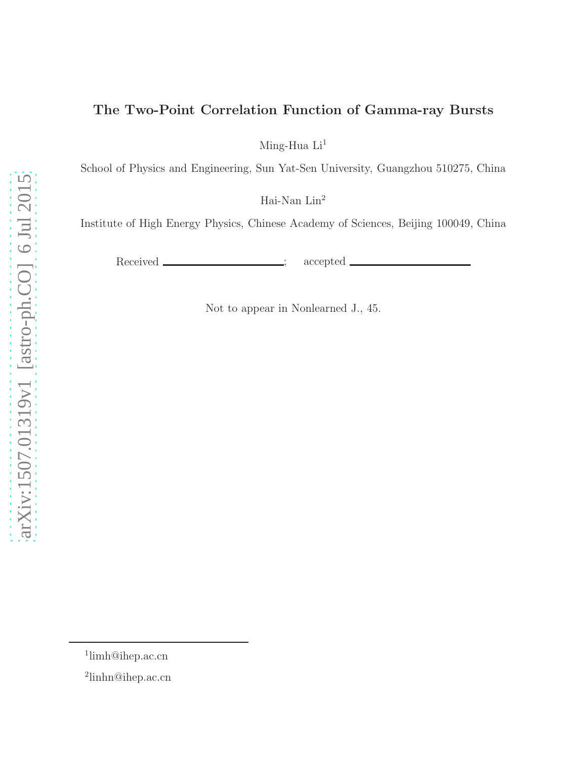# The Two-Point Correlation Function of Gamma-ray Bursts

Ming-Hua $\rm{Li}^{1}$ 

School of Physics and Engineering, Sun Yat-Sen University, Guangzhou 510275, China

Hai-Nan $\rm Lin^2$ 

Institute of High Energy Physics, Chinese Academy of Sciences, Beijing 100049, China

Received \_\_\_\_\_\_\_\_\_\_\_\_\_\_\_; accepted \_

Not to appear in Nonlearned J., 45.

<sup>1</sup> limh@ihep.ac.cn

<sup>2</sup> linhn@ihep.ac.cn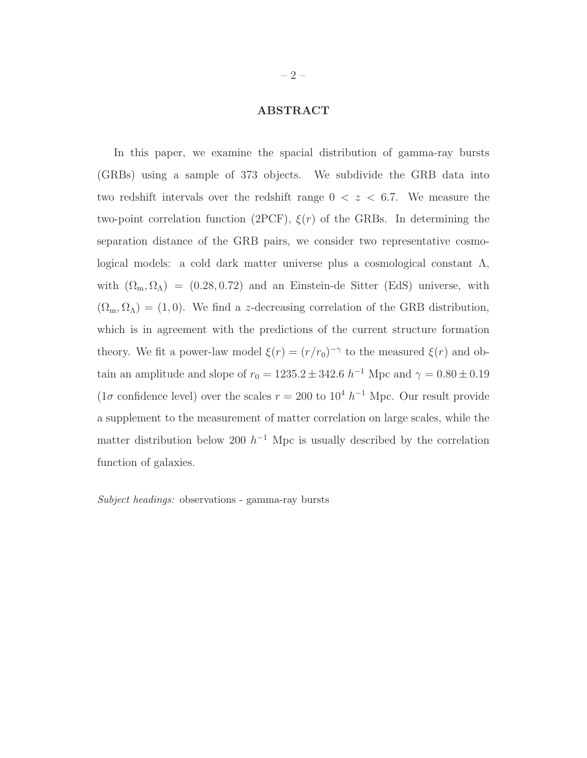# ABSTRACT

In this paper, we examine the spacial distribution of gamma-ray bursts (GRBs) using a sample of 373 objects. We subdivide the GRB data into two redshift intervals over the redshift range  $0 < z < 6.7$ . We measure the two-point correlation function (2PCF),  $\xi(r)$  of the GRBs. In determining the separation distance of the GRB pairs, we consider two representative cosmological models: a cold dark matter universe plus a cosmological constant  $\Lambda$ , with  $(\Omega_m, \Omega_\Lambda) = (0.28, 0.72)$  and an Einstein-de Sitter (EdS) universe, with  $(\Omega_{\rm m}, \Omega_{\Lambda}) = (1, 0)$ . We find a *z*-decreasing correlation of the GRB distribution, which is in agreement with the predictions of the current structure formation theory. We fit a power-law model  $\xi(r) = (r/r_0)^{-\gamma}$  to the measured  $\xi(r)$  and obtain an amplitude and slope of  $r_0 = 1235.2 \pm 342.6 \; h^{-1}$  Mpc and  $\gamma = 0.80 \pm 0.19$ (1 $\sigma$  confidence level) over the scales  $r = 200$  to  $10^4 h^{-1}$  Mpc. Our result provide a supplement to the measurement of matter correlation on large scales, while the matter distribution below 200  $h^{-1}$  Mpc is usually described by the correlation function of galaxies.

Subject headings: observations - gamma-ray bursts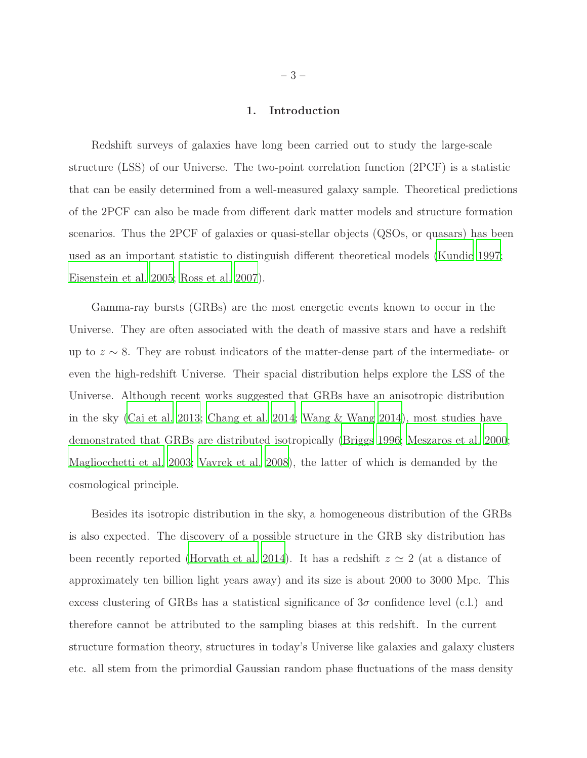### 1. Introduction

Redshift surveys of galaxies have long been carried out to study the large-scale structure (LSS) of our Universe. The two-point correlation function (2PCF) is a statistic that can be easily determined from a well-measured galaxy sample. Theoretical predictions of the 2PCF can also be made from different dark matter models and structure formation scenarios. Thus the 2PCF of galaxies or quasi-stellar objects (QSOs, or quasars) has been used as an important statistic to distinguish different theoretical models [\(Kundic 1997;](#page-17-0) [Eisenstein et al. 2005;](#page-16-0) [Ross et al. 2007](#page-18-0)).

Gamma-ray bursts (GRBs) are the most energetic events known to occur in the Universe. They are often associated with the death of massive stars and have a redshift up to  $z \sim 8$ . They are robust indicators of the matter-dense part of the intermediate- or even the high-redshift Universe. Their spacial distribution helps explore the LSS of the Universe. Although recent works suggested that GRBs have an anisotropic distribution in the sky [\(Cai et al. 2013;](#page-15-0) [Chang et al. 2014;](#page-15-1) [Wang & Wang 2014\)](#page-18-1), most studies have demonstrated that GRBs are distributed isotropically [\(Briggs 1996;](#page-15-2) [Meszaros et al. 2000](#page-17-1); [Magliocchetti et al. 2003](#page-17-2); [Vavrek et al. 2008\)](#page-18-2), the latter of which is demanded by the cosmological principle.

Besides its isotropic distribution in the sky, a homogeneous distribution of the GRBs is also expected. The discovery of a possible structure in the GRB sky distribution has been recently reported [\(Horvath et al. 2014](#page-16-1)). It has a redshift  $z \approx 2$  (at a distance of approximately ten billion light years away) and its size is about 2000 to 3000 Mpc. This excess clustering of GRBs has a statistical significance of  $3\sigma$  confidence level (c.l.) and therefore cannot be attributed to the sampling biases at this redshift. In the current structure formation theory, structures in today's Universe like galaxies and galaxy clusters etc. all stem from the primordial Gaussian random phase fluctuations of the mass density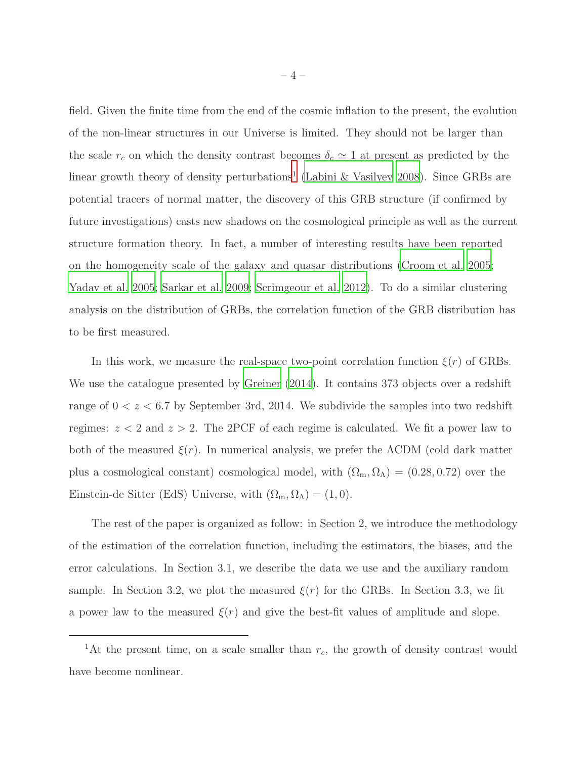field. Given the finite time from the end of the cosmic inflation to the present, the evolution of the non-linear structures in our Universe is limited. They should not be larger than the scale  $r_c$  on which the density contrast becomes  $\delta_c \simeq 1$  at present as predicted by the linear growth theory of density perturbations<sup>[1](#page-3-0)</sup> [\(Labini & Vasilyev 2008\)](#page-17-3). Since GRBs are potential tracers of normal matter, the discovery of this GRB structure (if confirmed by future investigations) casts new shadows on the cosmological principle as well as the current structure formation theory. In fact, a number of interesting results have been reported on the homogeneity scale of the galaxy and quasar distributions [\(Croom et al. 2005;](#page-15-3) [Yadav et al. 2005;](#page-18-3) [Sarkar et al. 2009;](#page-18-4) [Scrimgeour et al. 2012](#page-18-5)). To do a similar clustering analysis on the distribution of GRBs, the correlation function of the GRB distribution has to be first measured.

In this work, we measure the real-space two-point correlation function  $\xi(r)$  of GRBs. We use the catalogue presented by [Greiner \(2014](#page-16-2)). It contains 373 objects over a redshift range of  $0 < z < 6.7$  by September 3rd, 2014. We subdivide the samples into two redshift regimes:  $z < 2$  and  $z > 2$ . The 2PCF of each regime is calculated. We fit a power law to both of the measured  $\xi(r)$ . In numerical analysis, we prefer the  $\Lambda$ CDM (cold dark matter plus a cosmological constant) cosmological model, with  $(\Omega_m, \Omega_\Lambda) = (0.28, 0.72)$  over the Einstein-de Sitter (EdS) Universe, with  $(\Omega_{\rm m}, \Omega_{\Lambda}) = (1, 0)$ .

The rest of the paper is organized as follow: in Section 2, we introduce the methodology of the estimation of the correlation function, including the estimators, the biases, and the error calculations. In Section 3.1, we describe the data we use and the auxiliary random sample. In Section 3.2, we plot the measured  $\xi(r)$  for the GRBs. In Section 3.3, we fit a power law to the measured  $\xi(r)$  and give the best-fit values of amplitude and slope.

<span id="page-3-0"></span><sup>&</sup>lt;sup>1</sup>At the present time, on a scale smaller than  $r_c$ , the growth of density contrast would have become nonlinear.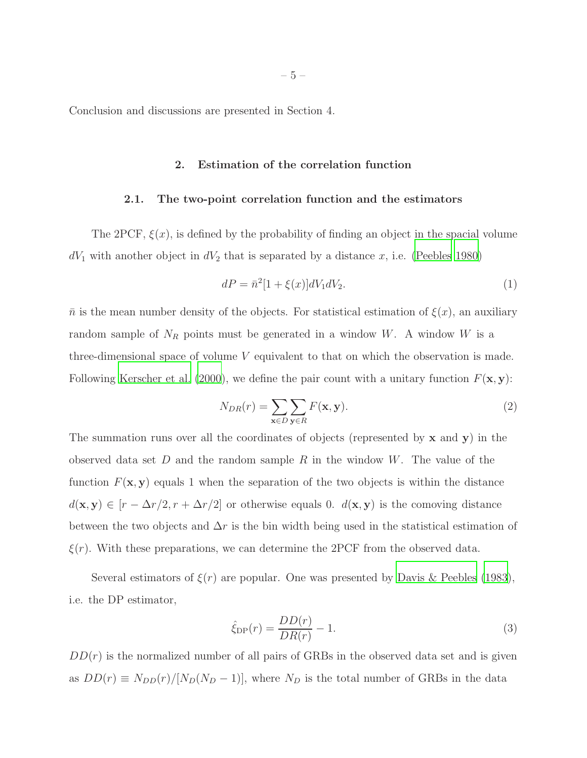Conclusion and discussions are presented in Section 4.

### 2. Estimation of the correlation function

## 2.1. The two-point correlation function and the estimators

The 2PCF,  $\xi(x)$ , is defined by the probability of finding an object in the spacial volume  $dV_1$  with another object in  $dV_2$  that is separated by a distance x, i.e. [\(Peebles 1980\)](#page-17-4)

$$
dP = \bar{n}^2 [1 + \xi(x)] dV_1 dV_2.
$$
 (1)

 $\bar{n}$  is the mean number density of the objects. For statistical estimation of  $\xi(x)$ , an auxiliary random sample of  $N_R$  points must be generated in a window W. A window W is a three-dimensional space of volume V equivalent to that on which the observation is made. Following [Kerscher et al. \(2000\)](#page-17-5), we define the pair count with a unitary function  $F(\mathbf{x}, \mathbf{y})$ :

<span id="page-4-0"></span>
$$
N_{DR}(r) = \sum_{\mathbf{x} \in D} \sum_{\mathbf{y} \in R} F(\mathbf{x}, \mathbf{y}).
$$
\n(2)

The summation runs over all the coordinates of objects (represented by  $x$  and  $y$ ) in the observed data set  $D$  and the random sample  $R$  in the window  $W$ . The value of the function  $F(\mathbf{x}, \mathbf{y})$  equals 1 when the separation of the two objects is within the distance  $d(\mathbf{x}, \mathbf{y}) \in [r - \Delta r/2, r + \Delta r/2]$  or otherwise equals 0.  $d(\mathbf{x}, \mathbf{y})$  is the comoving distance between the two objects and  $\Delta r$  is the bin width being used in the statistical estimation of  $\xi(r)$ . With these preparations, we can determine the 2PCF from the observed data.

Several estimators of  $\xi(r)$  are popular. One was presented by [Davis & Peebles \(1983\)](#page-16-3), i.e. the DP estimator,

$$
\hat{\xi}_{\rm DP}(r) = \frac{DD(r)}{DR(r)} - 1.
$$
\n(3)

 $DD(r)$  is the normalized number of all pairs of GRBs in the observed data set and is given as  $DD(r) \equiv N_{DD}(r)/[N_D(N_D-1)]$ , where  $N_D$  is the total number of GRBs in the data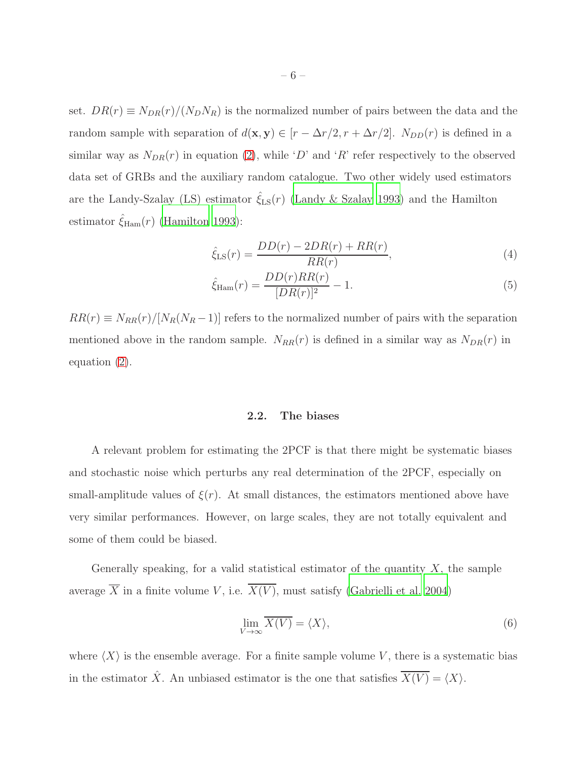set.  $DR(r) \equiv N_{DR}(r)/(N_D N_R)$  is the normalized number of pairs between the data and the random sample with separation of  $d(\mathbf{x}, \mathbf{y}) \in [r - \Delta r/2, r + \Delta r/2]$ .  $N_{DD}(r)$  is defined in a similar way as  $N_{DR}(r)$  in equation [\(2\)](#page-4-0), while 'D' and 'R' refer respectively to the observed data set of GRBs and the auxiliary random catalogue. Two other widely used estimators are the Landy-Szalay (LS) estimator  $\hat{\zeta}_{LS}(r)$  [\(Landy & Szalay 1993](#page-17-6)) and the Hamilton estimator  $\hat{\xi}_{\text{Ham}}(r)$  [\(Hamilton 1993\)](#page-16-4):

$$
\hat{\xi}_{\text{LS}}(r) = \frac{DD(r) - 2DR(r) + RR(r)}{RR(r)},\tag{4}
$$

$$
\hat{\xi}_{\text{Ham}}(r) = \frac{DD(r)RR(r)}{[DR(r)]^2} - 1.
$$
\n(5)

 $RR(r) \equiv N_{RR}(r)/[N_R(N_R-1)]$  refers to the normalized number of pairs with the separation mentioned above in the random sample.  $N_{RR}(r)$  is defined in a similar way as  $N_{DR}(r)$  in equation [\(2\)](#page-4-0).

# 2.2. The biases

A relevant problem for estimating the 2PCF is that there might be systematic biases and stochastic noise which perturbs any real determination of the 2PCF, especially on small-amplitude values of  $\xi(r)$ . At small distances, the estimators mentioned above have very similar performances. However, on large scales, they are not totally equivalent and some of them could be biased.

Generally speaking, for a valid statistical estimator of the quantity  $X$ , the sample average  $\overline{X}$  in a finite volume V, i.e.  $\overline{X(V)}$ , must satisfy [\(Gabrielli et al. 2004\)](#page-16-5)

$$
\lim_{V \to \infty} \overline{X(V)} = \langle X \rangle,\tag{6}
$$

where  $\langle X \rangle$  is the ensemble average. For a finite sample volume V, there is a systematic bias in the estimator  $\hat{X}$ . An unbiased estimator is the one that satisfies  $\overline{X(V)} = \langle X \rangle$ .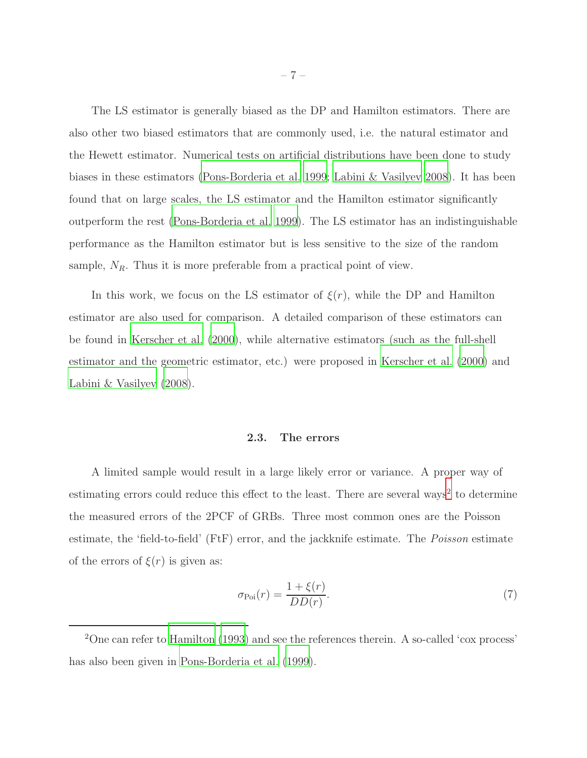The LS estimator is generally biased as the DP and Hamilton estimators. There are also other two biased estimators that are commonly used, i.e. the natural estimator and the Hewett estimator. Numerical tests on artificial distributions have been done to study biases in these estimators [\(Pons-Borderia et al. 1999](#page-17-7); [Labini & Vasilyev 2008](#page-17-3)). It has been found that on large scales, the LS estimator and the Hamilton estimator significantly outperform the rest [\(Pons-Borderia et al. 1999](#page-17-7)). The LS estimator has an indistinguishable performance as the Hamilton estimator but is less sensitive to the size of the random sample,  $N_R$ . Thus it is more preferable from a practical point of view.

In this work, we focus on the LS estimator of  $\xi(r)$ , while the DP and Hamilton estimator are also used for comparison. A detailed comparison of these estimators can be found in [Kerscher et al. \(2000\)](#page-17-5), while alternative estimators (such as the full-shell estimator and the geometric estimator, etc.) were proposed in [Kerscher et al. \(2000\)](#page-17-5) and [Labini & Vasilyev \(2008\)](#page-17-3).

#### 2.3. The errors

A limited sample would result in a large likely error or variance. A proper way of estimating errors could reduce this effect to the least. There are several ways<sup>[2](#page-6-0)</sup> to determine the measured errors of the 2PCF of GRBs. Three most common ones are the Poisson estimate, the 'field-to-field' (FtF) error, and the jackknife estimate. The *Poisson* estimate of the errors of  $\xi(r)$  is given as:

$$
\sigma_{\text{Poi}}(r) = \frac{1 + \xi(r)}{DD(r)}.\tag{7}
$$

<span id="page-6-0"></span><sup>2</sup>One can refer to [Hamilton \(1993](#page-16-4)) and see the references therein. A so-called 'cox process' has also been given in [Pons-Borderia et al. \(1999\)](#page-17-7).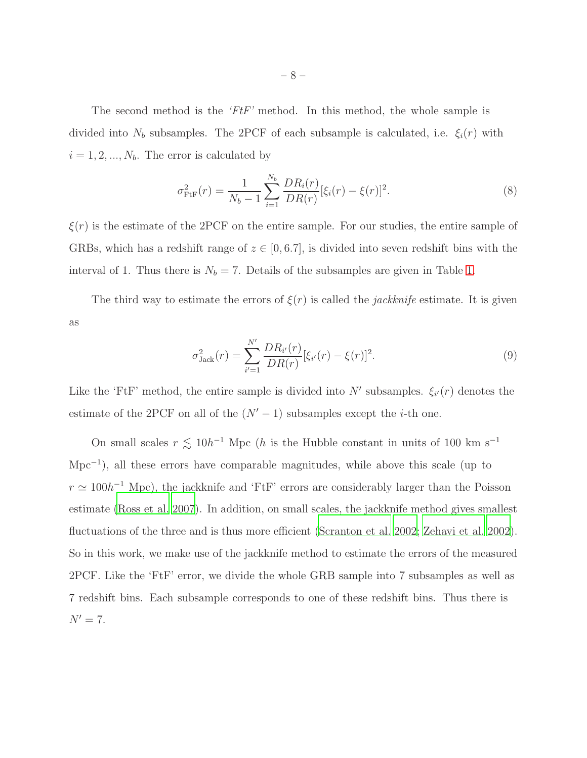The second method is the 'FtF' method. In this method, the whole sample is divided into  $N_b$  subsamples. The 2PCF of each subsample is calculated, i.e.  $\xi_i(r)$  with  $i = 1, 2, ..., N_b$ . The error is calculated by

$$
\sigma_{\text{FtF}}^2(r) = \frac{1}{N_b - 1} \sum_{i=1}^{N_b} \frac{DR_i(r)}{DR(r)} [\xi_i(r) - \xi(r)]^2.
$$
 (8)

 $\xi(r)$  is the estimate of the 2PCF on the entire sample. For our studies, the entire sample of GRBs, which has a redshift range of  $z \in [0, 6.7]$ , is divided into seven redshift bins with the interval of [1.](#page-24-0) Thus there is  $N_b = 7$ . Details of the subsamples are given in Table 1.

The third way to estimate the errors of  $\xi(r)$  is called the *jackknife* estimate. It is given as

<span id="page-7-0"></span>
$$
\sigma_{\text{Jack}}^2(r) = \sum_{i'=1}^{N'} \frac{DR_{i'}(r)}{DR(r)} [\xi_{i'}(r) - \xi(r)]^2.
$$
\n(9)

Like the 'FtF' method, the entire sample is divided into N' subsamples.  $\xi_{i'}(r)$  denotes the estimate of the 2PCF on all of the  $(N' - 1)$  subsamples except the *i*-th one.

On small scales  $r \lesssim 10h^{-1}$  Mpc (h is the Hubble constant in units of 100 km s<sup>-1</sup> Mpc<sup>-1</sup>), all these errors have comparable magnitudes, while above this scale (up to  $r \simeq 100h^{-1}$  Mpc), the jackknife and 'FtF' errors are considerably larger than the Poisson estimate [\(Ross et al. 2007](#page-18-0)). In addition, on small scales, the jackknife method gives smallest fluctuations of the three and is thus more efficient [\(Scranton et al.](#page-18-6) [2002;](#page-18-6) [Zehavi et al. 2002](#page-18-7)). So in this work, we make use of the jackknife method to estimate the errors of the measured 2PCF. Like the 'FtF' error, we divide the whole GRB sample into 7 subsamples as well as 7 redshift bins. Each subsample corresponds to one of these redshift bins. Thus there is  $N' = 7$ .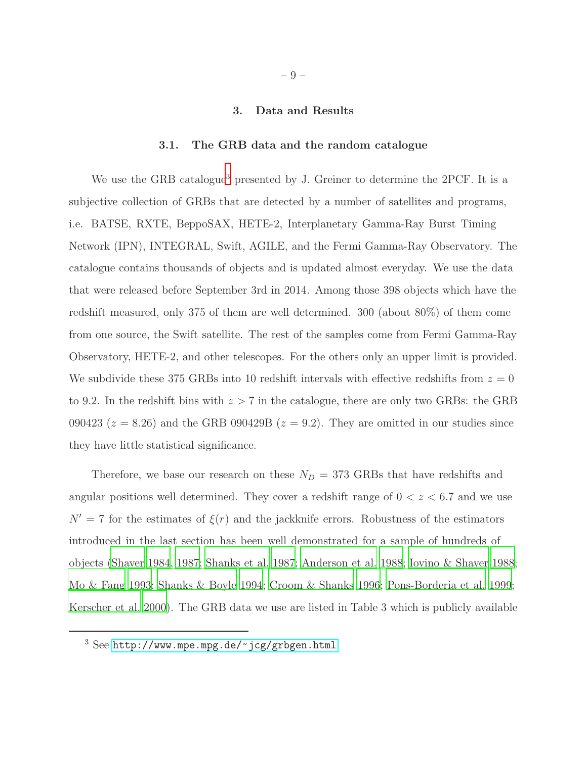### 3. Data and Results

#### 3.1. The GRB data and the random catalogue

We use the GRB catalogue<sup>[3](#page-8-0)</sup> presented by J. Greiner to determine the 2PCF. It is a subjective collection of GRBs that are detected by a number of satellites and programs, i.e. BATSE, RXTE, BeppoSAX, HETE-2, Interplanetary Gamma-Ray Burst Timing Network (IPN), INTEGRAL, Swift, AGILE, and the Fermi Gamma-Ray Observatory. The catalogue contains thousands of objects and is updated almost everyday. We use the data that were released before September 3rd in 2014. Among those 398 objects which have the redshift measured, only 375 of them are well determined. 300 (about 80%) of them come from one source, the Swift satellite. The rest of the samples come from Fermi Gamma-Ray Observatory, HETE-2, and other telescopes. For the others only an upper limit is provided. We subdivide these 375 GRBs into 10 redshift intervals with effective redshifts from  $z = 0$ to 9.2. In the redshift bins with  $z > 7$  in the catalogue, there are only two GRBs: the GRB 090423 ( $z = 8.26$ ) and the GRB 090429B ( $z = 9.2$ ). They are omitted in our studies since they have little statistical significance.

Therefore, we base our research on these  $N_D = 373$  GRBs that have redshifts and angular positions well determined. They cover a redshift range of  $0 < z < 6.7$  and we use  $N' = 7$  for the estimates of  $\xi(r)$  and the jackknife errors. Robustness of the estimators introduced in the last section has been well demonstrated for a sample of hundreds of objects [\(Shaver 1984,](#page-18-8) [1987;](#page-18-9) [Shanks et al. 1987;](#page-18-10) [Anderson et al.](#page-15-4) [1988](#page-15-4); [Iovino & Shaver 1988;](#page-16-6) [Mo & Fang 1993;](#page-17-8) [Shanks & Boyle 1994](#page-18-11); [Croom & Shanks 1996;](#page-15-5) [Pons-Borderia et al. 1999;](#page-17-7) [Kerscher et al. 2000\)](#page-17-5). The GRB data we use are listed in Table 3 which is publicly available

<span id="page-8-0"></span> $3$  See <http://www.mpe.mpg.de/~jcg/grbgen.html>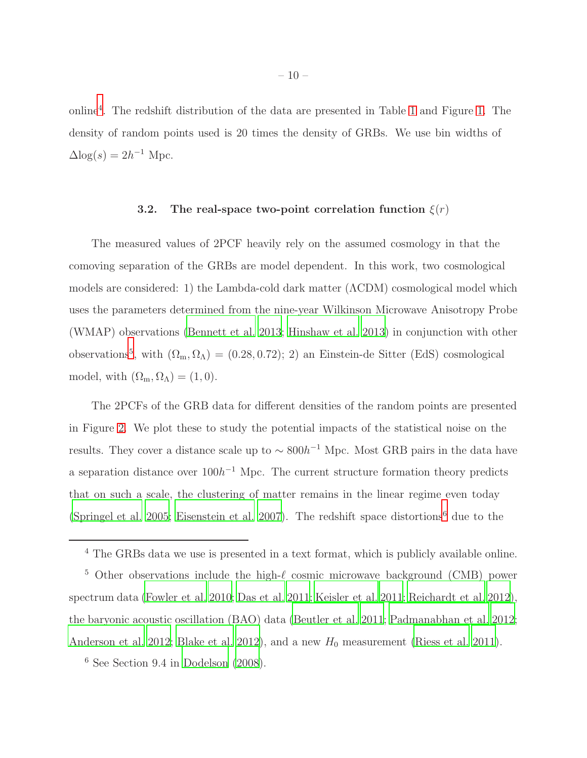online[4](#page-9-0) . The redshift distribution of the data are presented in Table [1](#page-24-0) and Figure [1.](#page-19-0) The density of random points used is 20 times the density of GRBs. We use bin widths of  $\Delta$ log(s) =  $2h^{-1}$  Mpc.

# 3.2. The real-space two-point correlation function  $\xi(r)$

The measured values of 2PCF heavily rely on the assumed cosmology in that the comoving separation of the GRBs are model dependent. In this work, two cosmological models are considered: 1) the Lambda-cold dark matter (ΛCDM) cosmological model which uses the parameters determined from the nine-year Wilkinson Microwave Anisotropy Probe (WMAP) observations [\(Bennett et al. 2013;](#page-15-6) [Hinshaw et al. 2013\)](#page-16-7) in conjunction with other observations<sup>[5](#page-9-1)</sup>, with  $(\Omega_m, \Omega_\Lambda) = (0.28, 0.72); 2$  an Einstein-de Sitter (EdS) cosmological model, with  $(\Omega_m, \Omega_\Lambda) = (1, 0)$ .

The 2PCFs of the GRB data for different densities of the random points are presented in Figure [2.](#page-20-0) We plot these to study the potential impacts of the statistical noise on the results. They cover a distance scale up to  $\sim 800h^{-1}$  Mpc. Most GRB pairs in the data have a separation distance over  $100h^{-1}$  Mpc. The current structure formation theory predicts that on such a scale, the clustering of matter remains in the linear regime even today [\(Springel et al. 2005](#page-18-12); [Eisenstein et al. 2007](#page-16-8)). The redshift space distortions<sup>[6](#page-18-13)</sup> due to the

<span id="page-9-1"></span><sup>5</sup> Other observations include the high- $\ell$  cosmic microwave background (CMB) power spectrum data [\(Fowler et al. 2010;](#page-16-9) [Das et al. 2011](#page-16-10); [Keisler et al. 2011](#page-16-11); [Reichardt et al. 2012](#page-17-9)), the baryonic acoustic oscillation (BAO) data [\(Beutler et al. 2011](#page-15-7); [Padmanabhan et al. 2012;](#page-17-10) [Anderson et al. 2012;](#page-15-8) [Blake et al. 2012\)](#page-15-9), and a new  $H_0$  measurement [\(Riess et al. 2011\)](#page-18-14).

<sup>6</sup> See Section 9.4 in [Dodelson \(2008](#page-16-12)).

<span id="page-9-0"></span><sup>4</sup> The GRBs data we use is presented in a text format, which is publicly available online.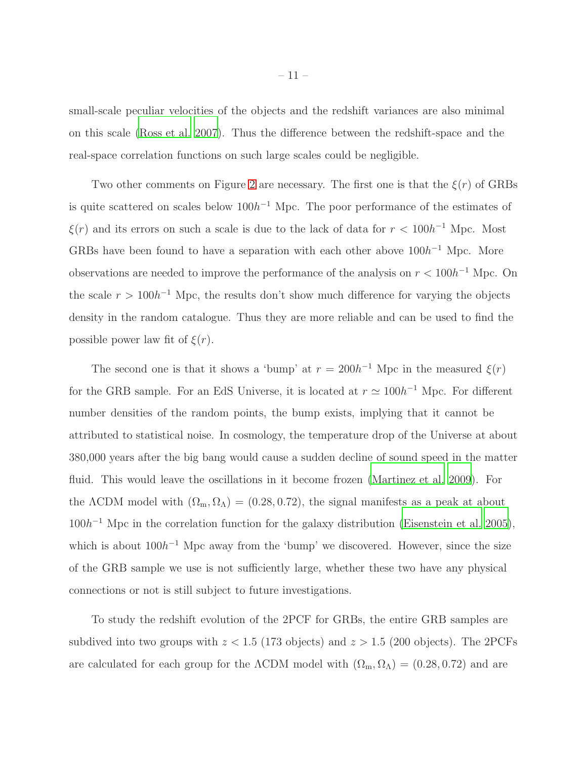small-scale peculiar velocities of the objects and the redshift variances are also minimal on this scale [\(Ross et al. 2007\)](#page-18-0). Thus the difference between the redshift-space and the real-space correlation functions on such large scales could be negligible.

Two other comments on Figure [2](#page-20-0) are necessary. The first one is that the  $\xi(r)$  of GRBs is quite scattered on scales below  $100h^{-1}$  Mpc. The poor performance of the estimates of  $\xi(r)$  and its errors on such a scale is due to the lack of data for  $r < 100h^{-1}$  Mpc. Most GRBs have been found to have a separation with each other above  $100h^{-1}$  Mpc. More observations are needed to improve the performance of the analysis on  $r < 100h^{-1}$  Mpc. On the scale  $r > 100h^{-1}$  Mpc, the results don't show much difference for varying the objects density in the random catalogue. Thus they are more reliable and can be used to find the possible power law fit of  $\xi(r)$ .

The second one is that it shows a 'bump' at  $r = 200h^{-1}$  Mpc in the measured  $\xi(r)$ for the GRB sample. For an EdS Universe, it is located at  $r \simeq 100h^{-1}$  Mpc. For different number densities of the random points, the bump exists, implying that it cannot be attributed to statistical noise. In cosmology, the temperature drop of the Universe at about 380,000 years after the big bang would cause a sudden decline of sound speed in the matter fluid. This would leave the oscillations in it become frozen [\(Martinez et al. 2009\)](#page-17-11). For the  $\Lambda$ CDM model with  $(\Omega_m, \Omega_\Lambda) = (0.28, 0.72)$ , the signal manifests as a peak at about  $100h^{-1}$  Mpc in the correlation function for the galaxy distribution [\(Eisenstein et al. 2005\)](#page-16-0), which is about  $100h^{-1}$  Mpc away from the 'bump' we discovered. However, since the size of the GRB sample we use is not sufficiently large, whether these two have any physical connections or not is still subject to future investigations.

To study the redshift evolution of the 2PCF for GRBs, the entire GRB samples are subdived into two groups with  $z < 1.5$  (173 objects) and  $z > 1.5$  (200 objects). The 2PCFs are calculated for each group for the  $\Lambda$ CDM model with  $(\Omega_{\rm m}, \Omega_{\Lambda}) = (0.28, 0.72)$  and are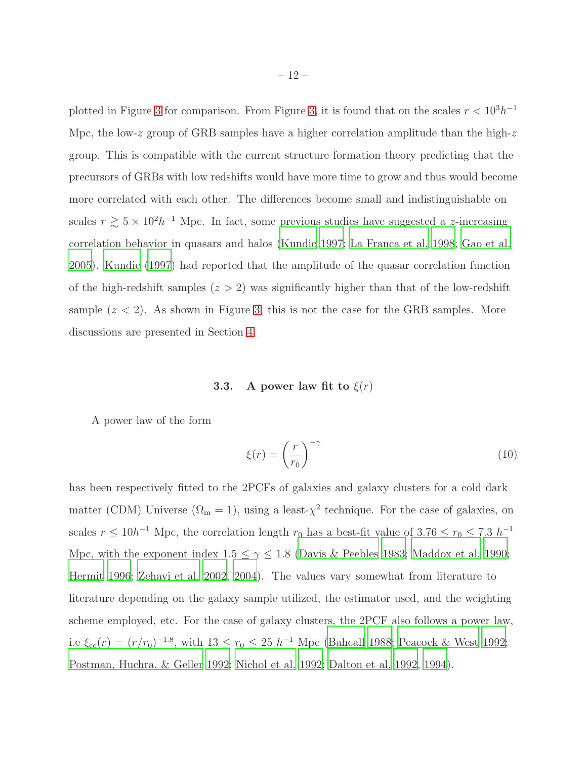plotted in Figure [3](#page-21-0) for comparison. From Figure [3,](#page-21-0) it is found that on the scales  $r < 10^3 h^{-1}$ Mpc, the low-z group of GRB samples have a higher correlation amplitude than the high-z group. This is compatible with the current structure formation theory predicting that the precursors of GRBs with low redshifts would have more time to grow and thus would become more correlated with each other. The differences become small and indistinguishable on scales  $r \gtrsim 5 \times 10^{2} h^{-1}$  Mpc. In fact, some previous studies have suggested a z-increasing correlation behavior in quasars and halos [\(Kundic 1997;](#page-17-0) [La Franca et al. 1998;](#page-17-12) [Gao et al.](#page-16-13) [2005\)](#page-16-13). [Kundic \(1997\)](#page-17-0) had reported that the amplitude of the quasar correlation function of the high-redshift samples  $(z > 2)$  was significantly higher than that of the low-redshift sample  $(z < 2)$ . As shown in Figure [3,](#page-21-0) this is not the case for the GRB samples. More discussions are presented in Section [4.](#page-12-0)

## **3.3.** A power law fit to  $\xi(r)$

A power law of the form

<span id="page-11-0"></span>
$$
\xi(r) = \left(\frac{r}{r_0}\right)^{-\gamma} \tag{10}
$$

has been respectively fitted to the 2PCFs of galaxies and galaxy clusters for a cold dark matter (CDM) Universe  $(\Omega_m = 1)$ , using a least- $\chi^2$  technique. For the case of galaxies, on scales  $r \leq 10h^{-1}$  Mpc, the correlation length  $r_0$  has a best-fit value of 3.76  $\leq r_0 \leq 7.3 h^{-1}$ Mpc, with the exponent index  $1.5 \leq \gamma \leq 1.8$  [\(Davis & Peebles 1983;](#page-16-3) [Maddox et al. 1990;](#page-17-13) [Hermit 1996](#page-16-14); [Zehavi et al. 2002](#page-18-7), [2004\)](#page-18-15). The values vary somewhat from literature to literature depending on the galaxy sample utilized, the estimator used, and the weighting scheme employed, etc. For the case of galaxy clusters, the 2PCF also follows a power law, i.e  $\xi_{\rm cc}(r) = (r/r_0)^{-1.8}$ , with  $13 \le r_0 \le 25 h^{-1}$  Mpc [\(Bahcall 1988](#page-15-10); [Peacock & West 1992](#page-17-14); [Postman, Huchra, & Geller 1992](#page-17-15); [Nichol et al. 1992;](#page-17-16) [Dalton et al. 1992](#page-15-11), [1994\)](#page-16-15).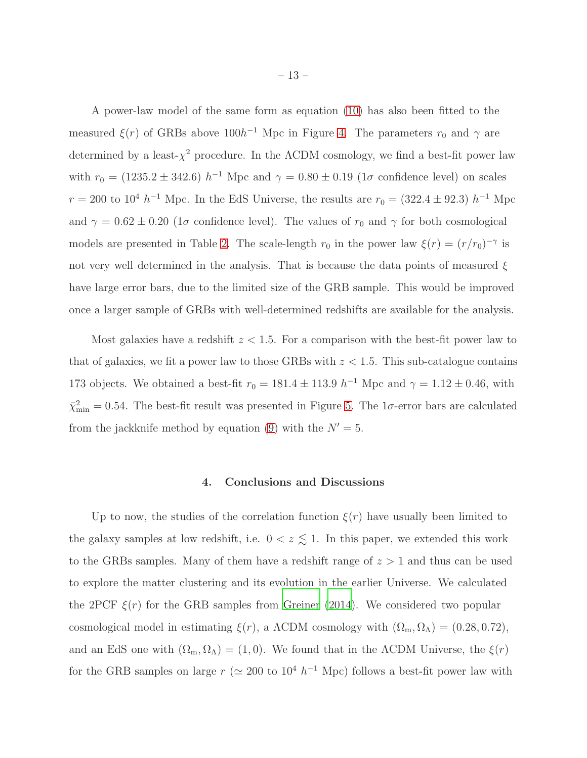A power-law model of the same form as equation [\(10\)](#page-11-0) has also been fitted to the measured  $\xi(r)$  of GRBs above  $100h^{-1}$  Mpc in Figure [4.](#page-22-0) The parameters  $r_0$  and  $\gamma$  are determined by a least- $\chi^2$  procedure. In the  $\Lambda$ CDM cosmology, we find a best-fit power law with  $r_0 = (1235.2 \pm 342.6) h^{-1}$  Mpc and  $\gamma = 0.80 \pm 0.19$  (1 $\sigma$  confidence level) on scales  $r = 200$  to  $10^4 h^{-1}$  Mpc. In the EdS Universe, the results are  $r_0 = (322.4 \pm 92.3) h^{-1}$  Mpc and  $\gamma = 0.62 \pm 0.20$  (1 $\sigma$  confidence level). The values of  $r_0$  and  $\gamma$  for both cosmological models are presented in Table [2.](#page-24-1) The scale-length  $r_0$  in the power law  $\xi(r) = (r/r_0)^{-\gamma}$  is not very well determined in the analysis. That is because the data points of measured  $\xi$ have large error bars, due to the limited size of the GRB sample. This would be improved once a larger sample of GRBs with well-determined redshifts are available for the analysis.

Most galaxies have a redshift  $z < 1.5$ . For a comparison with the best-fit power law to that of galaxies, we fit a power law to those GRBs with  $z < 1.5$ . This sub-catalogue contains 173 objects. We obtained a best-fit  $r_0 = 181.4 \pm 113.9 h^{-1}$  Mpc and  $\gamma = 1.12 \pm 0.46$ , with  $\bar{\chi}^2_{\rm min} = 0.54$ . The best-fit result was presented in Figure [5.](#page-23-0) The 1 $\sigma$ -error bars are calculated from the jackknife method by equation [\(9\)](#page-7-0) with the  $N' = 5$ .

#### 4. Conclusions and Discussions

<span id="page-12-0"></span>Up to now, the studies of the correlation function  $\xi(r)$  have usually been limited to the galaxy samples at low redshift, i.e.  $0 < z \leq 1$ . In this paper, we extended this work to the GRBs samples. Many of them have a redshift range of  $z > 1$  and thus can be used to explore the matter clustering and its evolution in the earlier Universe. We calculated the 2PCF  $\xi(r)$  for the GRB samples from [Greiner \(2014\)](#page-16-2). We considered two popular cosmological model in estimating  $\xi(r)$ , a  $\Lambda$ CDM cosmology with  $(\Omega_{\rm m}, \Omega_{\Lambda}) = (0.28, 0.72)$ , and an EdS one with  $(\Omega_m, \Omega_\Lambda) = (1, 0)$ . We found that in the  $\Lambda$ CDM Universe, the  $\xi(r)$ for the GRB samples on large  $r \approx 200$  to  $10^4 h^{-1}$  Mpc) follows a best-fit power law with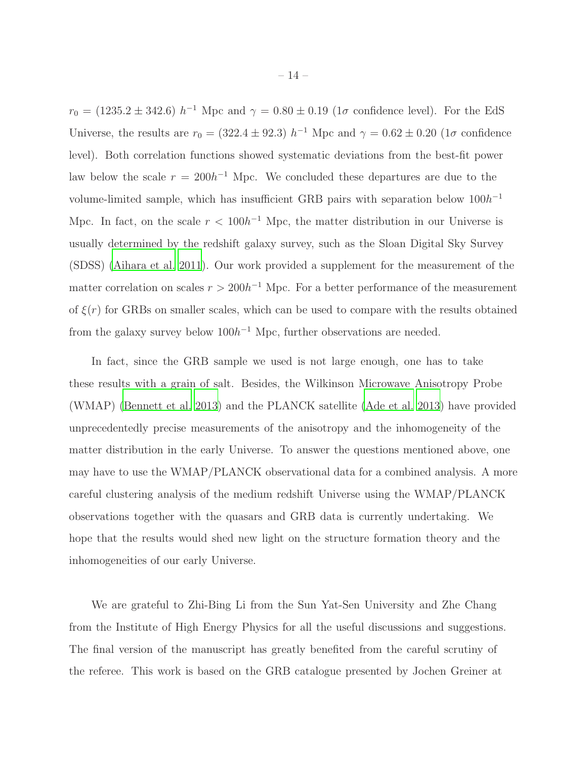$r_0 = (1235.2 \pm 342.6) h^{-1}$  Mpc and  $\gamma = 0.80 \pm 0.19$  (1 $\sigma$  confidence level). For the EdS Universe, the results are  $r_0 = (322.4 \pm 92.3) h^{-1}$  Mpc and  $\gamma = 0.62 \pm 0.20$  (1 $\sigma$  confidence level). Both correlation functions showed systematic deviations from the best-fit power law below the scale  $r = 200h^{-1}$  Mpc. We concluded these departures are due to the volume-limited sample, which has insufficient GRB pairs with separation below  $100h^{-1}$ Mpc. In fact, on the scale  $r < 100h^{-1}$  Mpc, the matter distribution in our Universe is usually determined by the redshift galaxy survey, such as the Sloan Digital Sky Survey (SDSS) [\(Aihara et al. 2011](#page-15-12)). Our work provided a supplement for the measurement of the matter correlation on scales  $r > 200h^{-1}$  Mpc. For a better performance of the measurement of  $\xi(r)$  for GRBs on smaller scales, which can be used to compare with the results obtained from the galaxy survey below  $100h^{-1}$  Mpc, further observations are needed.

In fact, since the GRB sample we used is not large enough, one has to take these results with a grain of salt. Besides, the Wilkinson Microwave Anisotropy Probe (WMAP) [\(Bennett et al. 2013](#page-15-6)) and the PLANCK satellite [\(Ade et al. 2013](#page-15-13)) have provided unprecedentedly precise measurements of the anisotropy and the inhomogeneity of the matter distribution in the early Universe. To answer the questions mentioned above, one may have to use the WMAP/PLANCK observational data for a combined analysis. A more careful clustering analysis of the medium redshift Universe using the WMAP/PLANCK observations together with the quasars and GRB data is currently undertaking. We hope that the results would shed new light on the structure formation theory and the inhomogeneities of our early Universe.

We are grateful to Zhi-Bing Li from the Sun Yat-Sen University and Zhe Chang from the Institute of High Energy Physics for all the useful discussions and suggestions. The final version of the manuscript has greatly benefited from the careful scrutiny of the referee. This work is based on the GRB catalogue presented by Jochen Greiner at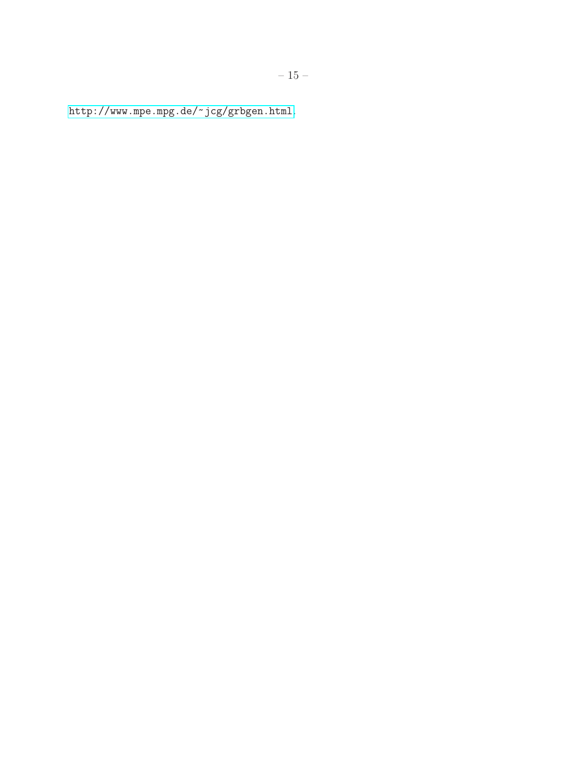<http://www.mpe.mpg.de/~jcg/grbgen.html>.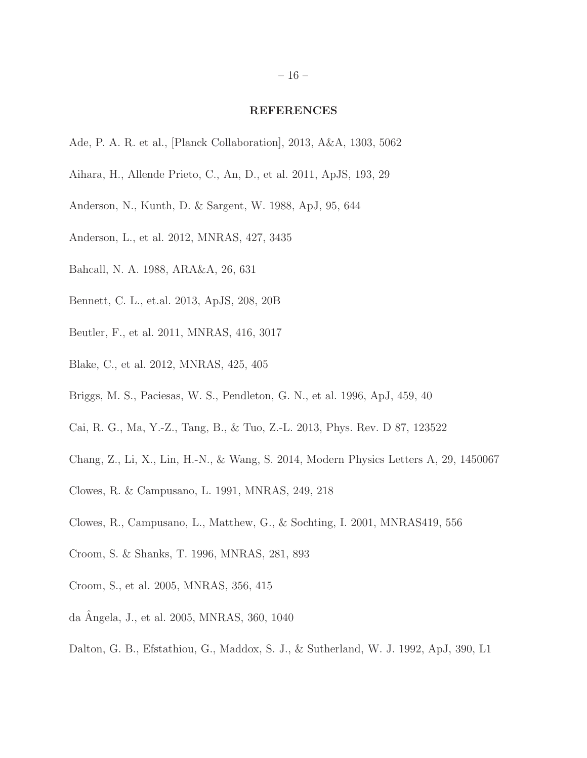#### REFERENCES

- <span id="page-15-13"></span>Ade, P. A. R. et al., [Planck Collaboration], 2013, A&A, 1303, 5062
- <span id="page-15-12"></span>Aihara, H., Allende Prieto, C., An, D., et al. 2011, ApJS, 193, 29
- <span id="page-15-4"></span>Anderson, N., Kunth, D. & Sargent, W. 1988, ApJ, 95, 644
- <span id="page-15-8"></span>Anderson, L., et al. 2012, MNRAS, 427, 3435
- <span id="page-15-10"></span>Bahcall, N. A. 1988, ARA&A, 26, 631
- <span id="page-15-6"></span>Bennett, C. L., et.al. 2013, ApJS, 208, 20B
- <span id="page-15-7"></span>Beutler, F., et al. 2011, MNRAS, 416, 3017
- <span id="page-15-9"></span>Blake, C., et al. 2012, MNRAS, 425, 405
- <span id="page-15-2"></span>Briggs, M. S., Paciesas, W. S., Pendleton, G. N., et al. 1996, ApJ, 459, 40
- <span id="page-15-0"></span>Cai, R. G., Ma, Y.-Z., Tang, B., & Tuo, Z.-L. 2013, Phys. Rev. D 87, 123522
- <span id="page-15-1"></span>Chang, Z., Li, X., Lin, H.-N., & Wang, S. 2014, Modern Physics Letters A, 29, 1450067
- Clowes, R. & Campusano, L. 1991, MNRAS, 249, 218
- Clowes, R., Campusano, L., Matthew, G., & Sochting, I. 2001, MNRAS419, 556
- <span id="page-15-5"></span>Croom, S. & Shanks, T. 1996, MNRAS, 281, 893
- <span id="page-15-3"></span>Croom, S., et al. 2005, MNRAS, 356, 415
- da Angela, J., et al. 2005, MNRAS, 360, 1040 ˆ
- <span id="page-15-11"></span>Dalton, G. B., Efstathiou, G., Maddox, S. J., & Sutherland, W. J. 1992, ApJ, 390, L1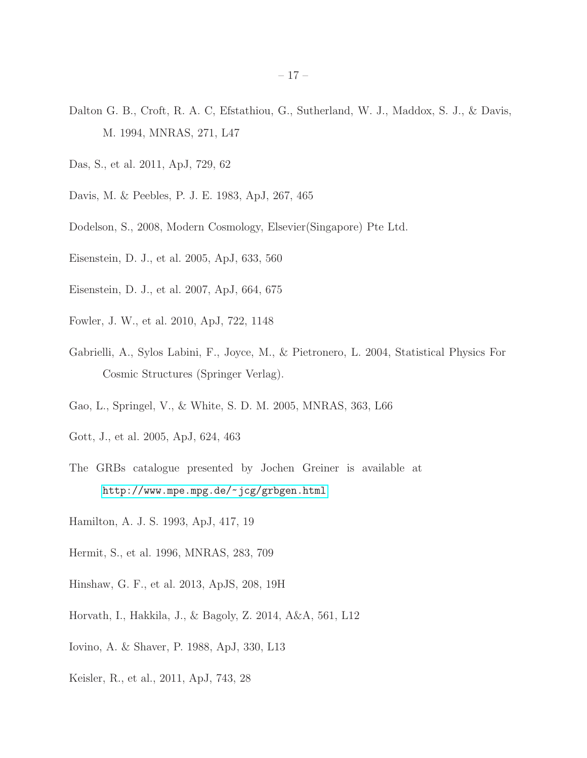- <span id="page-16-15"></span>Dalton G. B., Croft, R. A. C, Efstathiou, G., Sutherland, W. J., Maddox, S. J., & Davis, M. 1994, MNRAS, 271, L47
- <span id="page-16-10"></span>Das, S., et al. 2011, ApJ, 729, 62
- <span id="page-16-3"></span>Davis, M. & Peebles, P. J. E. 1983, ApJ, 267, 465
- <span id="page-16-12"></span>Dodelson, S., 2008, Modern Cosmology, Elsevier(Singapore) Pte Ltd.
- <span id="page-16-0"></span>Eisenstein, D. J., et al. 2005, ApJ, 633, 560
- <span id="page-16-8"></span>Eisenstein, D. J., et al. 2007, ApJ, 664, 675
- <span id="page-16-9"></span>Fowler, J. W., et al. 2010, ApJ, 722, 1148
- <span id="page-16-5"></span>Gabrielli, A., Sylos Labini, F., Joyce, M., & Pietronero, L. 2004, Statistical Physics For Cosmic Structures (Springer Verlag).
- <span id="page-16-13"></span>Gao, L., Springel, V., & White, S. D. M. 2005, MNRAS, 363, L66
- Gott, J., et al. 2005, ApJ, 624, 463
- <span id="page-16-2"></span>The GRBs catalogue presented by Jochen Greiner is available at <http://www.mpe.mpg.de/~jcg/grbgen.html>
- <span id="page-16-4"></span>Hamilton, A. J. S. 1993, ApJ, 417, 19
- <span id="page-16-14"></span>Hermit, S., et al. 1996, MNRAS, 283, 709
- <span id="page-16-7"></span>Hinshaw, G. F., et al. 2013, ApJS, 208, 19H
- <span id="page-16-1"></span>Horvath, I., Hakkila, J., & Bagoly, Z. 2014, A&A, 561, L12
- <span id="page-16-6"></span>Iovino, A. & Shaver, P. 1988, ApJ, 330, L13
- <span id="page-16-11"></span>Keisler, R., et al., 2011, ApJ, 743, 28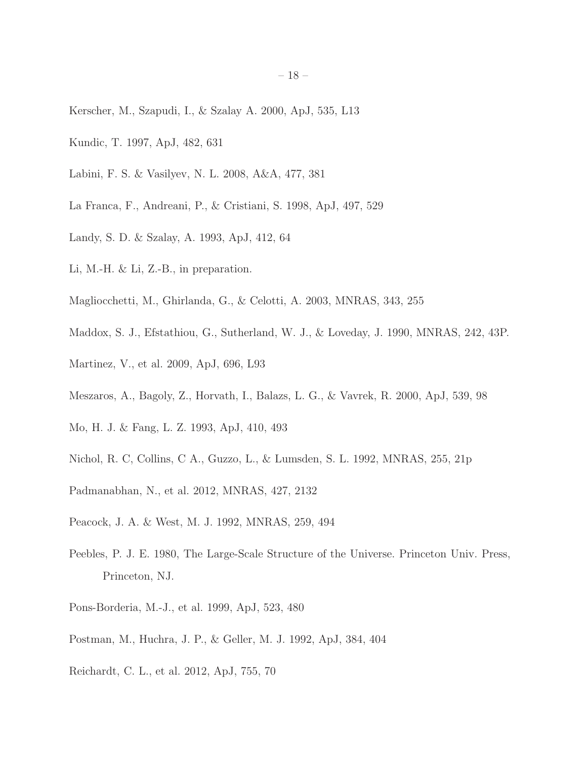- <span id="page-17-5"></span>Kerscher, M., Szapudi, I., & Szalay A. 2000, ApJ, 535, L13
- <span id="page-17-0"></span>Kundic, T. 1997, ApJ, 482, 631
- <span id="page-17-3"></span>Labini, F. S. & Vasilyev, N. L. 2008, A&A, 477, 381
- <span id="page-17-12"></span>La Franca, F., Andreani, P., & Cristiani, S. 1998, ApJ, 497, 529
- <span id="page-17-6"></span>Landy, S. D. & Szalay, A. 1993, ApJ, 412, 64
- Li, M.-H. & Li, Z.-B., in preparation.
- <span id="page-17-2"></span>Magliocchetti, M., Ghirlanda, G., & Celotti, A. 2003, MNRAS, 343, 255
- <span id="page-17-13"></span>Maddox, S. J., Efstathiou, G., Sutherland, W. J., & Loveday, J. 1990, MNRAS, 242, 43P.
- <span id="page-17-11"></span>Martinez, V., et al. 2009, ApJ, 696, L93
- <span id="page-17-1"></span>Meszaros, A., Bagoly, Z., Horvath, I., Balazs, L. G., & Vavrek, R. 2000, ApJ, 539, 98
- <span id="page-17-8"></span>Mo, H. J. & Fang, L. Z. 1993, ApJ, 410, 493
- <span id="page-17-16"></span>Nichol, R. C, Collins, C A., Guzzo, L., & Lumsden, S. L. 1992, MNRAS, 255, 21p
- <span id="page-17-10"></span>Padmanabhan, N., et al. 2012, MNRAS, 427, 2132
- <span id="page-17-14"></span>Peacock, J. A. & West, M. J. 1992, MNRAS, 259, 494
- <span id="page-17-4"></span>Peebles, P. J. E. 1980, The Large-Scale Structure of the Universe. Princeton Univ. Press, Princeton, NJ.
- <span id="page-17-7"></span>Pons-Borderia, M.-J., et al. 1999, ApJ, 523, 480
- <span id="page-17-15"></span>Postman, M., Huchra, J. P., & Geller, M. J. 1992, ApJ, 384, 404
- <span id="page-17-9"></span>Reichardt, C. L., et al. 2012, ApJ, 755, 70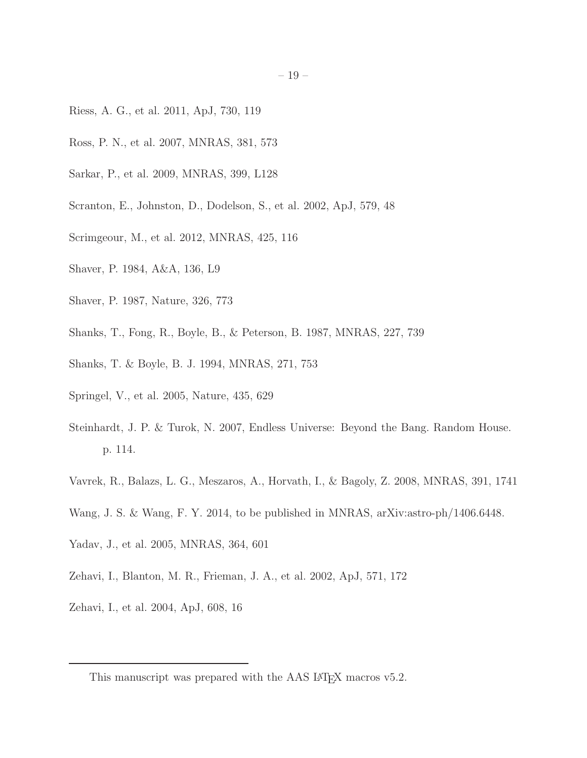- <span id="page-18-14"></span>Riess, A. G., et al. 2011, ApJ, 730, 119
- <span id="page-18-0"></span>Ross, P. N., et al. 2007, MNRAS, 381, 573
- <span id="page-18-4"></span>Sarkar, P., et al. 2009, MNRAS, 399, L128
- <span id="page-18-6"></span>Scranton, E., Johnston, D., Dodelson, S., et al. 2002, ApJ, 579, 48
- <span id="page-18-5"></span>Scrimgeour, M., et al. 2012, MNRAS, 425, 116
- <span id="page-18-8"></span>Shaver, P. 1984, A&A, 136, L9
- <span id="page-18-9"></span>Shaver, P. 1987, Nature, 326, 773
- <span id="page-18-10"></span>Shanks, T., Fong, R., Boyle, B., & Peterson, B. 1987, MNRAS, 227, 739
- <span id="page-18-11"></span>Shanks, T. & Boyle, B. J. 1994, MNRAS, 271, 753
- <span id="page-18-12"></span>Springel, V., et al. 2005, Nature, 435, 629
- Steinhardt, J. P. & Turok, N. 2007, Endless Universe: Beyond the Bang. Random House. p. 114.
- <span id="page-18-2"></span>Vavrek, R., Balazs, L. G., Meszaros, A., Horvath, I., & Bagoly, Z. 2008, MNRAS, 391, 1741
- <span id="page-18-1"></span>Wang, J. S. & Wang, F. Y. 2014, to be published in MNRAS, arXiv:astro-ph/1406.6448.
- <span id="page-18-3"></span>Yadav, J., et al. 2005, MNRAS, 364, 601
- <span id="page-18-7"></span>Zehavi, I., Blanton, M. R., Frieman, J. A., et al. 2002, ApJ, 571, 172
- <span id="page-18-15"></span>Zehavi, I., et al. 2004, ApJ, 608, 16

<span id="page-18-13"></span>This manuscript was prepared with the AAS IATEX macros v5.2.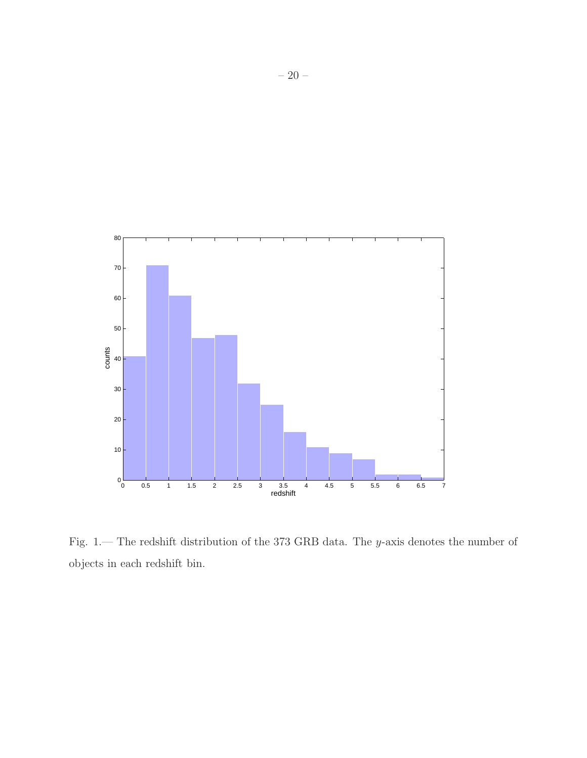

<span id="page-19-0"></span>Fig. 1.— The redshift distribution of the 373 GRB data. The y-axis denotes the number of objects in each redshift bin.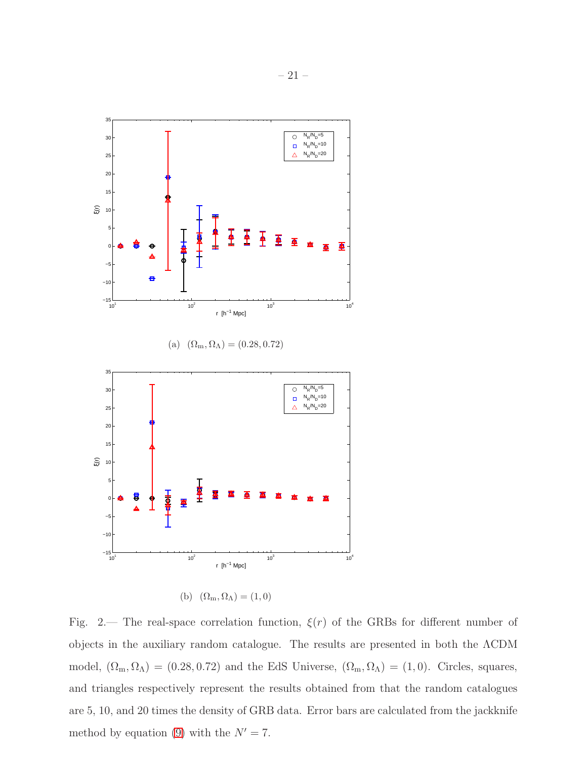

(b)  $(\Omega_m, \Omega_\Lambda) = (1, 0)$ 

<span id="page-20-0"></span>Fig. 2.— The real-space correlation function,  $\xi(r)$  of the GRBs for different number of objects in the auxiliary random catalogue. The results are presented in both the ΛCDM model,  $(\Omega_m, \Omega_\Lambda) = (0.28, 0.72)$  and the EdS Universe,  $(\Omega_m, \Omega_\Lambda) = (1, 0)$ . Circles, squares, and triangles respectively represent the results obtained from that the random catalogues are 5, 10, and 20 times the density of GRB data. Error bars are calculated from the jackknife method by equation [\(9\)](#page-7-0) with the  $N' = 7$ .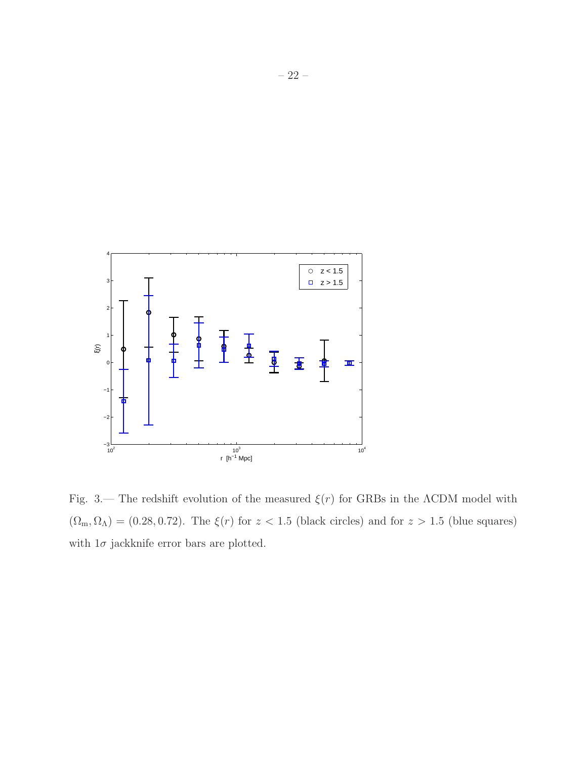

<span id="page-21-0"></span>Fig. 3.— The redshift evolution of the measured  $\xi(r)$  for GRBs in the  $\Lambda$ CDM model with  $(\Omega_{\rm m}, \Omega_{\Lambda}) = (0.28, 0.72)$ . The  $\xi(r)$  for  $z < 1.5$  (black circles) and for  $z > 1.5$  (blue squares) with  $1\sigma$  jackknife error bars are plotted.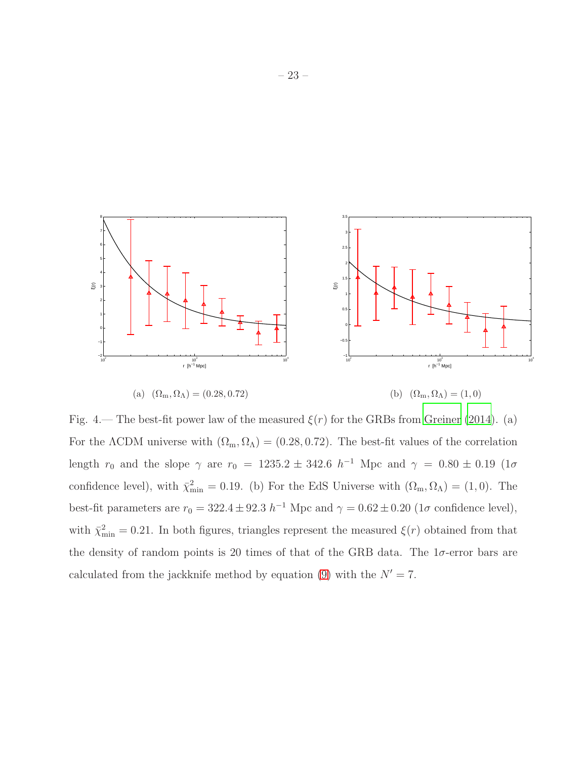

<span id="page-22-0"></span>Fig. 4.— The best-fit power law of the measured  $\xi(r)$  for the GRBs from [Greiner \(2014](#page-16-2)). (a) For the ΛCDM universe with  $(\Omega_m, \Omega_\Lambda) = (0.28, 0.72)$ . The best-fit values of the correlation length  $r_0$  and the slope  $\gamma$  are  $r_0 = 1235.2 \pm 342.6$   $h^{-1}$  Mpc and  $\gamma = 0.80 \pm 0.19$  (1 $\sigma$ ) confidence level), with  $\bar{\chi}^2_{\rm min} = 0.19$ . (b) For the EdS Universe with  $(\Omega_{\rm m}, \Omega_{\Lambda}) = (1, 0)$ . The best-fit parameters are  $r_0 = 322.4 \pm 92.3 h^{-1}$  Mpc and  $\gamma = 0.62 \pm 0.20$  (1 $\sigma$  confidence level), with  $\bar{\chi}^2_{\rm min} = 0.21$ . In both figures, triangles represent the measured  $\xi(r)$  obtained from that the density of random points is 20 times of that of the GRB data. The  $1\sigma$ -error bars are calculated from the jackknife method by equation [\(9\)](#page-7-0) with the  $N' = 7$ .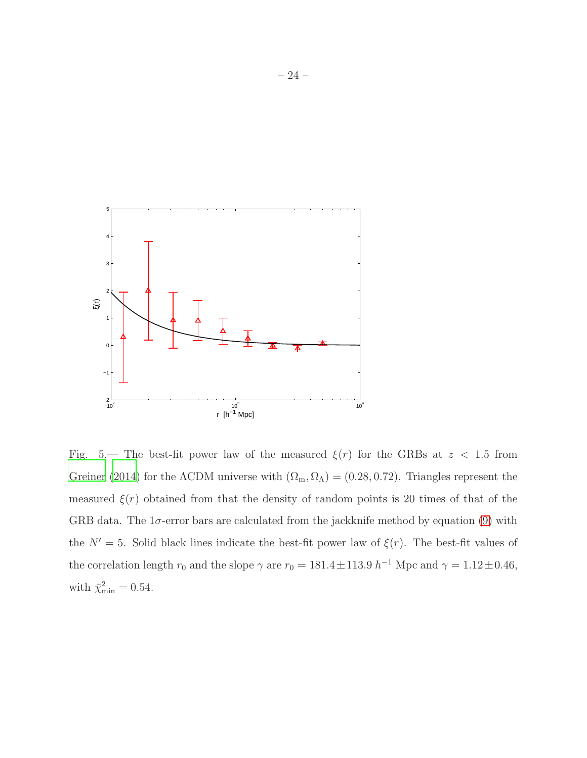

<span id="page-23-0"></span>Fig. 5.— The best-fit power law of the measured  $\xi(r)$  for the GRBs at z < 1.5 from [Greiner \(2014\)](#page-16-2) for the  $\Lambda$ CDM universe with  $(\Omega_m, \Omega_\Lambda) = (0.28, 0.72)$ . Triangles represent the measured  $\xi(r)$  obtained from that the density of random points is 20 times of that of the GRB data. The  $1\sigma$ -error bars are calculated from the jackknife method by equation [\(9\)](#page-7-0) with the  $N' = 5$ . Solid black lines indicate the best-fit power law of  $\xi(r)$ . The best-fit values of the correlation length  $r_0$  and the slope  $\gamma$  are  $r_0 = 181.4 \pm 113.9$   $h^{-1}$  Mpc and  $\gamma = 1.12 \pm 0.46$ , with  $\bar{\chi}^2_{\text{min}} = 0.54$ .